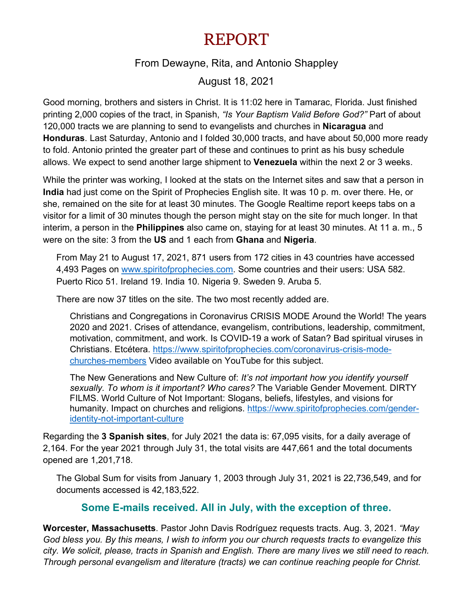## REPORT

## From Dewayne, Rita, and Antonio Shappley

August 18, 2021

Good morning, brothers and sisters in Christ. It is 11:02 here in Tamarac, Florida. Just finished printing 2,000 copies of the tract, in Spanish, *"Is Your Baptism Valid Before God?"* Part of about 120,000 tracts we are planning to send to evangelists and churches in **Nicaragua** and **Honduras**. Last Saturday, Antonio and I folded 30,000 tracts, and have about 50,000 more ready to fold. Antonio printed the greater part of these and continues to print as his busy schedule allows. We expect to send another large shipment to **Venezuela** within the next 2 or 3 weeks.

While the printer was working, I looked at the stats on the Internet sites and saw that a person in **India** had just come on the Spirit of Prophecies English site. It was 10 p. m. over there. He, or she, remained on the site for at least 30 minutes. The Google Realtime report keeps tabs on a visitor for a limit of 30 minutes though the person might stay on the site for much longer. In that interim, a person in the **Philippines** also came on, staying for at least 30 minutes. At 11 a. m., 5 were on the site: 3 from the **US** and 1 each from **Ghana** and **Nigeria**.

From May 21 to August 17, 2021, 871 users from 172 cities in 43 countries have accessed 4,493 Pages on [www.spiritofprophecies.com.](http://www.spiritofprophecies.com/) Some countries and their users: USA 582. Puerto Rico 51. Ireland 19. India 10. Nigeria 9. Sweden 9. Aruba 5.

There are now 37 titles on the site. The two most recently added are.

Christians and Congregations in Coronavirus CRISIS MODE Around the World! The years 2020 and 2021. Crises of attendance, evangelism, contributions, leadership, commitment, motivation, commitment, and work. Is COVID-19 a work of Satan? Bad spiritual viruses in Christians. Etcétera. [https://www.spiritofprophecies.com/coronavirus-crisis-mode](https://www.spiritofprophecies.com/coronavirus-crisis-mode-churches-members)[churches-members](https://www.spiritofprophecies.com/coronavirus-crisis-mode-churches-members) Video available on YouTube for this subject.

The New Generations and New Culture of: *It's not important how you identify yourself sexually. To whom is it important? Who cares?* The Variable Gender Movement. DIRTY FILMS. World Culture of Not Important: Slogans, beliefs, lifestyles, and visions for humanity. Impact on churches and religions. [https://www.spiritofprophecies.com/gender](https://www.spiritofprophecies.com/gender-identity-not-important-culture)[identity-not-important-culture](https://www.spiritofprophecies.com/gender-identity-not-important-culture)

Regarding the **3 Spanish sites**, for July 2021 the data is: 67,095 visits, for a daily average of 2,164. For the year 2021 through July 31, the total visits are 447,661 and the total documents opened are 1,201,718.

The Global Sum for visits from January 1, 2003 through July 31, 2021 is 22,736,549, and for documents accessed is 42,183,522.

## **Some E-mails received. All in July, with the exception of three.**

**Worcester, Massachusetts**. Pastor John Davis Rodríguez requests tracts. Aug. 3, 2021. *"May God bless you. By this means, I wish to inform you our church requests tracts to evangelize this city. We solicit, please, tracts in Spanish and English. There are many lives we still need to reach. Through personal evangelism and literature (tracts) we can continue reaching people for Christ.*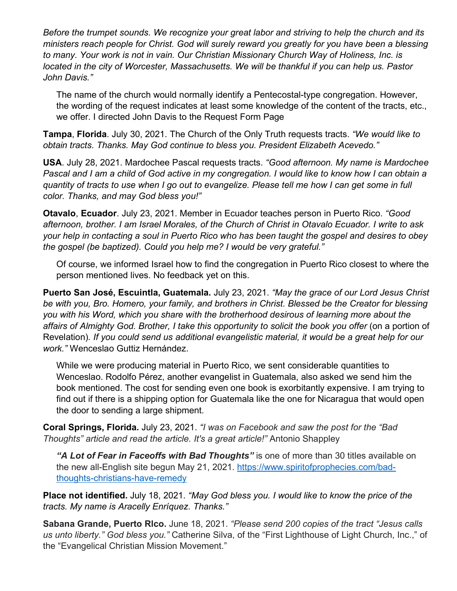*Before the trumpet sounds. We recognize your great labor and striving to help the church and its ministers reach people for Christ. God will surely reward you greatly for you have been a blessing to many. Your work is not in vain. Our Christian Missionary Church Way of Holiness, Inc. is located in the city of Worcester, Massachusetts. We will be thankful if you can help us. Pastor John Davis."*

The name of the church would normally identify a Pentecostal-type congregation. However, the wording of the request indicates at least some knowledge of the content of the tracts, etc., we offer. I directed John Davis to the Request Form Page

**Tampa**, **Florida**. July 30, 2021. The Church of the Only Truth requests tracts. *"We would like to obtain tracts. Thanks. May God continue to bless you. President Elizabeth Acevedo."*

**USA**. July 28, 2021. Mardochee Pascal requests tracts. *"Good afternoon. My name is Mardochee Pascal and I am a child of God active in my congregation. I would like to know how I can obtain a quantity of tracts to use when I go out to evangelize. Please tell me how I can get some in full color. Thanks, and may God bless you!"*

**Otavalo**, **Ecuador**. July 23, 2021. Member in Ecuador teaches person in Puerto Rico. *"Good afternoon, brother. I am Israel Morales, of the Church of Christ in Otavalo Ecuador. I write to ask your help in contacting a soul in Puerto Rico who has been taught the gospel and desires to obey the gospel (be baptized). Could you help me? I would be very grateful."* 

Of course, we informed Israel how to find the congregation in Puerto Rico closest to where the person mentioned lives. No feedback yet on this.

**Puerto San José, Escuintla, Guatemala.** July 23, 2021. *"May the grace of our Lord Jesus Christ be with you, Bro. Homero, your family, and brothers in Christ. Blessed be the Creator for blessing you with his Word, which you share with the brotherhood desirous of learning more about the*  affairs of Almighty God. Brother, I take this opportunity to solicit the book you offer (on a portion of Revelation)*. If you could send us additional evangelistic material, it would be a great help for our work."* Wenceslao Guttiz Hernández.

While we were producing material in Puerto Rico, we sent considerable quantities to Wenceslao. Rodolfo Pérez, another evangelist in Guatemala, also asked we send him the book mentioned. The cost for sending even one book is exorbitantly expensive. I am trying to find out if there is a shipping option for Guatemala like the one for Nicaragua that would open the door to sending a large shipment.

**Coral Springs, Florida.** July 23, 2021. *"I was on Facebook and saw the post for the "Bad Thoughts" article and read the article. It's a great article!"* Antonio Shappley

*"A Lot of Fear in Faceoffs with Bad Thoughts"* is one of more than 30 titles available on the new all-English site begun May 21, 2021. [https://www.spiritofprophecies.com/bad](https://www.spiritofprophecies.com/bad-thoughts-christians-have-remedy)[thoughts-christians-have-remedy](https://www.spiritofprophecies.com/bad-thoughts-christians-have-remedy)

**Place not identified.** July 18, 2021. *"May God bless you. I would like to know the price of the tracts. My name is Aracelly Enríquez. Thanks."*

**Sabana Grande, Puerto Rlco.** June 18, 2021. *"Please send 200 copies of the tract "Jesus calls us unto liberty." God bless you."* Catherine Silva, of the "First Lighthouse of Light Church, Inc.," of the "Evangelical Christian Mission Movement."